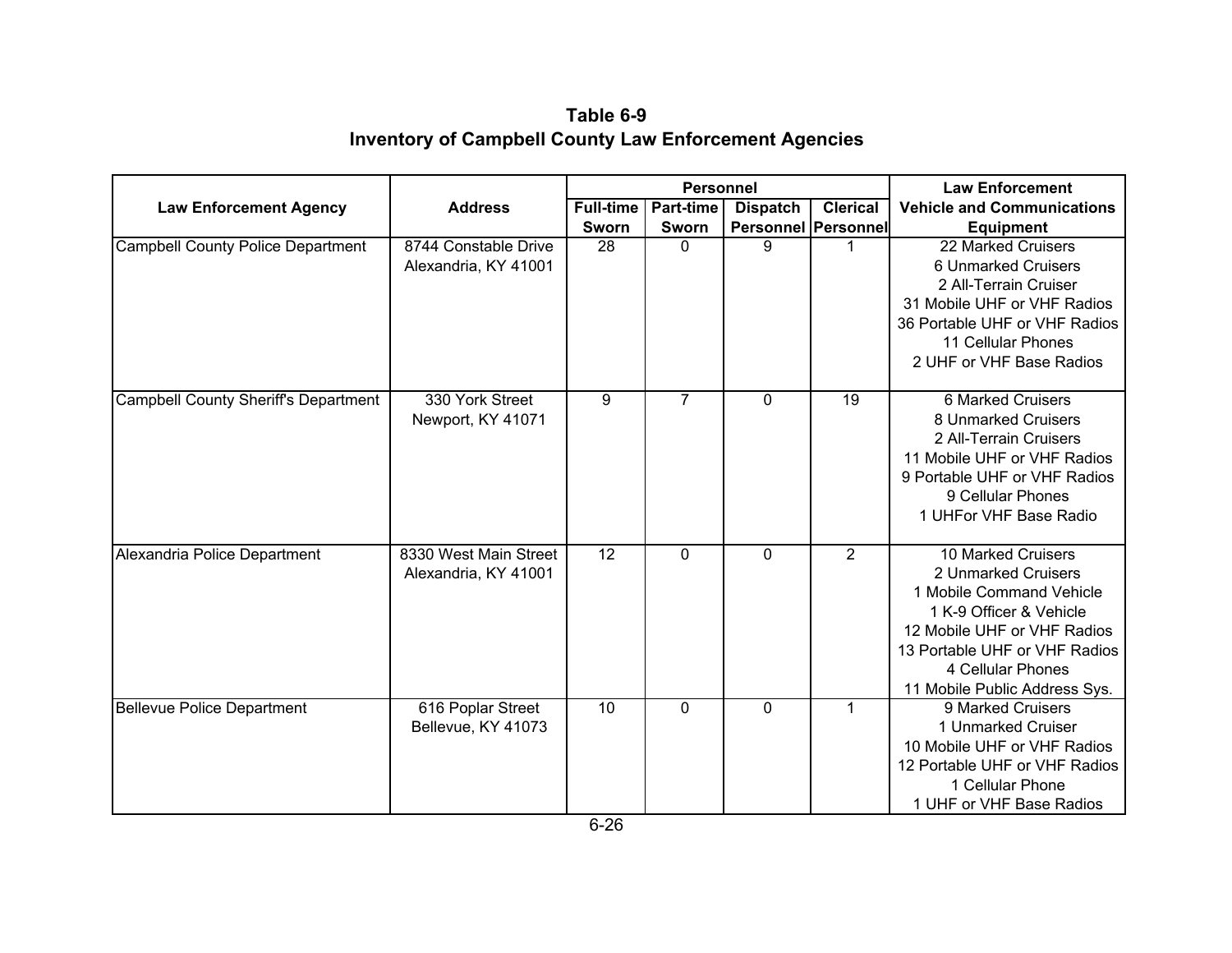**Table 6-9 Inventory of Campbell County Law Enforcement Agencies**

|                                             |                                               | <b>Personnel</b> |              |                            |                 | <b>Law Enforcement</b>                                                                                                                                                                                                 |
|---------------------------------------------|-----------------------------------------------|------------------|--------------|----------------------------|-----------------|------------------------------------------------------------------------------------------------------------------------------------------------------------------------------------------------------------------------|
| <b>Law Enforcement Agency</b>               | <b>Address</b>                                | <b>Full-time</b> | Part-time    | <b>Dispatch</b>            | <b>Clerical</b> | <b>Vehicle and Communications</b>                                                                                                                                                                                      |
|                                             |                                               | Sworn            | Sworn        | <b>Personnel Personnel</b> |                 | <b>Equipment</b>                                                                                                                                                                                                       |
| <b>Campbell County Police Department</b>    | 8744 Constable Drive<br>Alexandria, KY 41001  | 28               | $\Omega$     | 9                          | $\mathbf{1}$    | 22 Marked Cruisers<br>6 Unmarked Cruisers<br>2 All-Terrain Cruiser<br>31 Mobile UHF or VHF Radios<br>36 Portable UHF or VHF Radios<br>11 Cellular Phones<br>2 UHF or VHF Base Radios                                   |
| <b>Campbell County Sheriff's Department</b> | 330 York Street<br>Newport, KY 41071          | 9                | 7            | $\Omega$                   | $\overline{19}$ | <b>6 Marked Cruisers</b><br>8 Unmarked Cruisers<br>2 All-Terrain Cruisers<br>11 Mobile UHF or VHF Radios<br>9 Portable UHF or VHF Radios<br>9 Cellular Phones<br>1 UHFor VHF Base Radio                                |
| Alexandria Police Department                | 8330 West Main Street<br>Alexandria, KY 41001 | 12               | $\mathbf{0}$ | $\mathbf{0}$               | 2               | 10 Marked Cruisers<br>2 Unmarked Cruisers<br>1 Mobile Command Vehicle<br>1 K-9 Officer & Vehicle<br>12 Mobile UHF or VHF Radios<br>13 Portable UHF or VHF Radios<br>4 Cellular Phones<br>11 Mobile Public Address Sys. |
| <b>Bellevue Police Department</b>           | 616 Poplar Street<br>Bellevue, KY 41073       | 10               | $\Omega$     | $\Omega$                   | $\mathbf{1}$    | 9 Marked Cruisers<br>1 Unmarked Cruiser<br>10 Mobile UHF or VHF Radios<br>12 Portable UHF or VHF Radios<br>1 Cellular Phone<br>1 UHF or VHF Base Radios                                                                |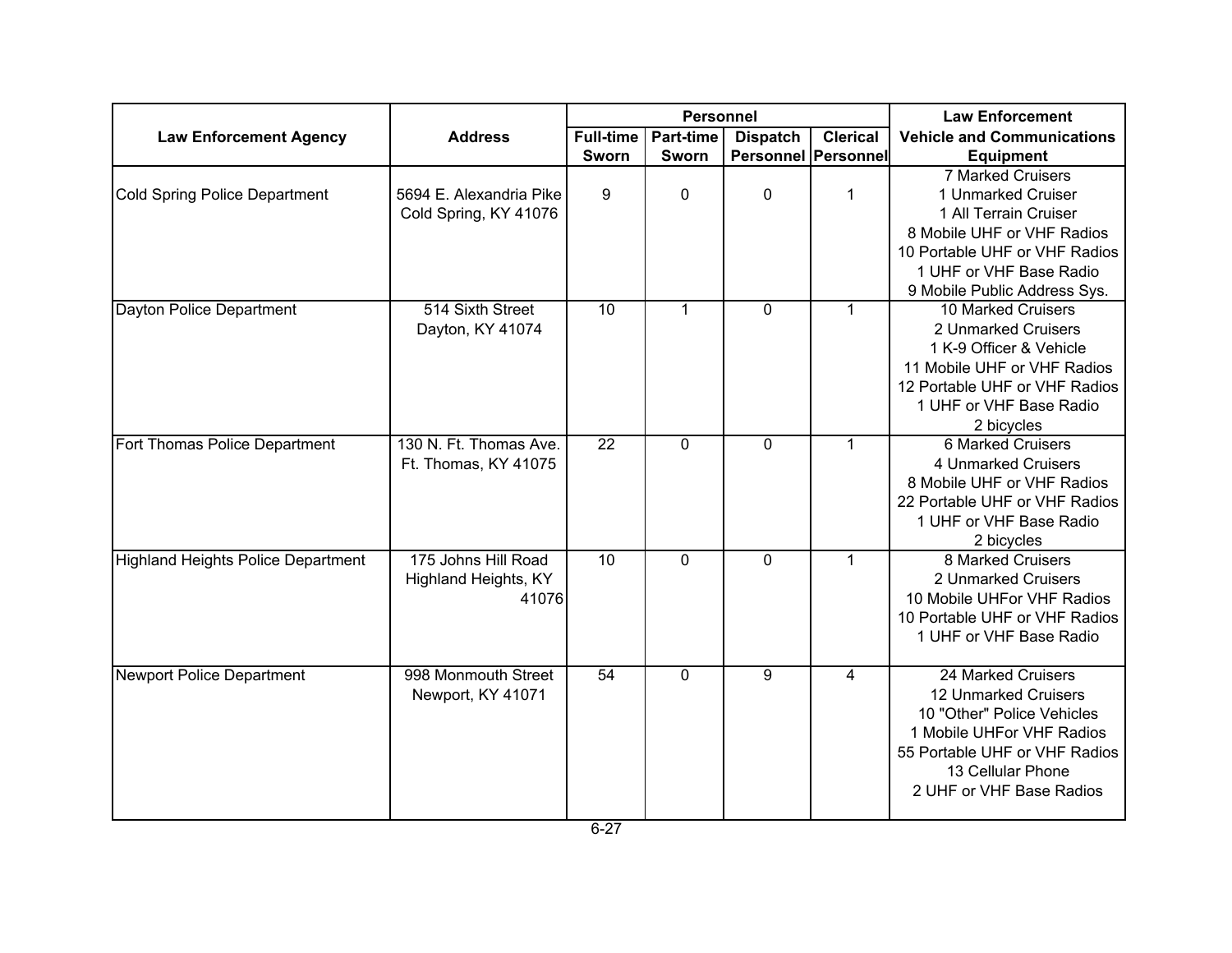|                                           |                                                      | <b>Personnel</b> |                  |                            |                 | <b>Law Enforcement</b>            |
|-------------------------------------------|------------------------------------------------------|------------------|------------------|----------------------------|-----------------|-----------------------------------|
| <b>Law Enforcement Agency</b>             | <b>Address</b>                                       | Full-time        | <b>Part-time</b> | <b>Dispatch</b>            | <b>Clerical</b> | <b>Vehicle and Communications</b> |
|                                           |                                                      | Sworn            | Sworn            | <b>Personnel Personnel</b> |                 | <b>Equipment</b>                  |
|                                           |                                                      |                  |                  |                            |                 | 7 Marked Cruisers                 |
| Cold Spring Police Department             | 5694 E. Alexandria Pike<br>Cold Spring, KY 41076     | 9                | $\mathbf 0$      | 0                          | $\mathbf 1$     | 1 Unmarked Cruiser                |
|                                           |                                                      |                  |                  |                            |                 | 1 All Terrain Cruiser             |
|                                           |                                                      |                  |                  |                            |                 | 8 Mobile UHF or VHF Radios        |
|                                           |                                                      |                  |                  |                            |                 | 10 Portable UHF or VHF Radios     |
|                                           |                                                      |                  |                  |                            |                 | 1 UHF or VHF Base Radio           |
|                                           |                                                      |                  |                  |                            |                 | 9 Mobile Public Address Sys.      |
| Dayton Police Department                  | 514 Sixth Street<br>Dayton, KY 41074                 | 10               | $\mathbf{1}$     | $\mathbf 0$                | $\mathbf{1}$    | 10 Marked Cruisers                |
|                                           |                                                      |                  |                  |                            |                 | 2 Unmarked Cruisers               |
|                                           |                                                      |                  |                  |                            |                 | 1 K-9 Officer & Vehicle           |
|                                           |                                                      |                  |                  |                            |                 | 11 Mobile UHF or VHF Radios       |
|                                           |                                                      |                  |                  |                            |                 | 12 Portable UHF or VHF Radios     |
|                                           |                                                      |                  |                  |                            |                 | 1 UHF or VHF Base Radio           |
|                                           |                                                      |                  |                  |                            |                 | 2 bicycles                        |
| Fort Thomas Police Department             | 130 N. Ft. Thomas Ave.<br>Ft. Thomas, KY 41075       | 22               | $\mathbf 0$      | 0                          | $\mathbf{1}$    | 6 Marked Cruisers                 |
|                                           |                                                      |                  |                  |                            |                 | 4 Unmarked Cruisers               |
|                                           |                                                      |                  |                  |                            |                 | 8 Mobile UHF or VHF Radios        |
|                                           |                                                      |                  |                  |                            |                 | 22 Portable UHF or VHF Radios     |
|                                           |                                                      |                  |                  |                            |                 | 1 UHF or VHF Base Radio           |
|                                           |                                                      |                  |                  |                            |                 | 2 bicycles                        |
| <b>Highland Heights Police Department</b> | 175 Johns Hill Road<br>Highland Heights, KY<br>41076 | 10               | $\mathbf 0$      | $\mathbf 0$                | $\mathbf{1}$    | 8 Marked Cruisers                 |
|                                           |                                                      |                  |                  |                            |                 | 2 Unmarked Cruisers               |
|                                           |                                                      |                  |                  |                            |                 | 10 Mobile UHFor VHF Radios        |
|                                           |                                                      |                  |                  |                            |                 | 10 Portable UHF or VHF Radios     |
|                                           |                                                      |                  |                  |                            |                 | 1 UHF or VHF Base Radio           |
| Newport Police Department                 | 998 Monmouth Street                                  | 54               | 0                | 9                          | 4               | 24 Marked Cruisers                |
|                                           | Newport, KY 41071                                    |                  |                  |                            |                 | 12 Unmarked Cruisers              |
|                                           |                                                      |                  |                  |                            |                 | 10 "Other" Police Vehicles        |
|                                           |                                                      |                  |                  |                            |                 | 1 Mobile UHFor VHF Radios         |
|                                           |                                                      |                  |                  |                            |                 | 55 Portable UHF or VHF Radios     |
|                                           |                                                      |                  |                  |                            |                 | 13 Cellular Phone                 |
|                                           |                                                      |                  |                  |                            |                 | 2 UHF or VHF Base Radios          |
|                                           |                                                      |                  |                  |                            |                 |                                   |